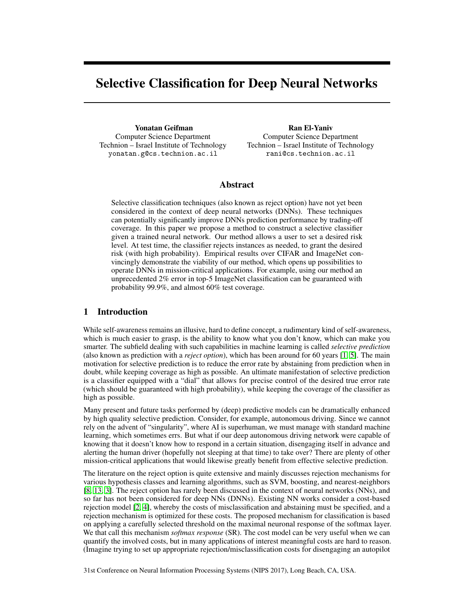# Selective Classification for Deep Neural Networks

Yonatan Geifman Computer Science Department Technion – Israel Institute of Technology yonatan.g@cs.technion.ac.il

Ran El-Yaniv Computer Science Department Technion – Israel Institute of Technology rani@cs.technion.ac.il

# Abstract

Selective classification techniques (also known as reject option) have not yet been considered in the context of deep neural networks (DNNs). These techniques can potentially significantly improve DNNs prediction performance by trading-off coverage. In this paper we propose a method to construct a selective classifier given a trained neural network. Our method allows a user to set a desired risk level. At test time, the classifier rejects instances as needed, to grant the desired risk (with high probability). Empirical results over CIFAR and ImageNet convincingly demonstrate the viability of our method, which opens up possibilities to operate DNNs in mission-critical applications. For example, using our method an unprecedented 2% error in top-5 ImageNet classification can be guaranteed with probability 99.9%, and almost 60% test coverage.

# 1 Introduction

While self-awareness remains an illusive, hard to define concept, a rudimentary kind of self-awareness, which is much easier to grasp, is the ability to know what you don't know, which can make you smarter. The subfield dealing with such capabilities in machine learning is called *selective prediction* (also known as prediction with a *reject option*), which has been around for 60 years [1, 5]. The main motivation for selective prediction is to reduce the error rate by abstaining from prediction when in doubt, while keeping coverage as high as possible. An ultimate manifestation of selective prediction is a classifier equipped with a "dial" that allows for precise control of the desired true error rate (which should be guaranteed with high probability), while keeping the coverage of the classifier as high as possible.

Many present and future tasks performed by (deep) predictive models can be dramatically enhanced by high quality selective prediction. Consider, for example, autonomous driving. Since we cannot rely on the advent of "singularity", where AI is superhuman, we must manage with standard machine learning, which sometimes errs. But what if our deep autonomous driving network were capable of knowing that it doesn't know how to respond in a certain situation, disengaging itself in advance and alerting the human driver (hopefully not sleeping at that time) to take over? There are plenty of other mission-critical applications that would likewise greatly benefit from effective selective prediction.

The literature on the reject option is quite extensive and mainly discusses rejection mechanisms for various hypothesis classes and learning algorithms, such as SVM, boosting, and nearest-neighbors [8, 13, 3]. The reject option has rarely been discussed in the context of neural networks (NNs), and so far has not been considered for deep NNs (DNNs). Existing NN works consider a cost-based rejection model [2, 4], whereby the costs of misclassification and abstaining must be specified, and a rejection mechanism is optimized for these costs. The proposed mechanism for classification is based on applying a carefully selected threshold on the maximal neuronal response of the softmax layer. We that call this mechanism *softmax response* (SR). The cost model can be very useful when we can quantify the involved costs, but in many applications of interest meaningful costs are hard to reason. (Imagine trying to set up appropriate rejection/misclassification costs for disengaging an autopilot

31st Conference on Neural Information Processing Systems (NIPS 2017), Long Beach, CA, USA.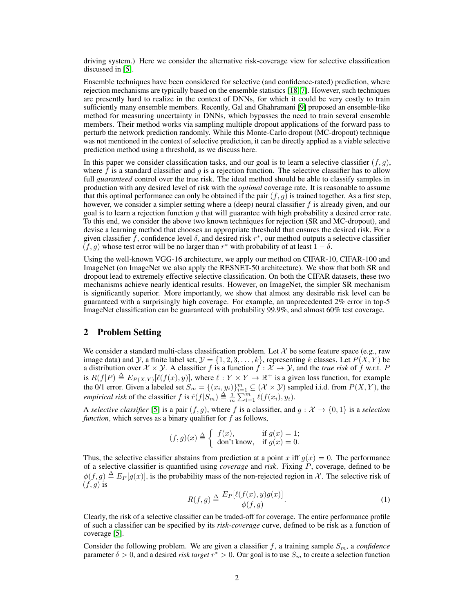driving system.) Here we consider the alternative risk-coverage view for selective classification discussed in [5].

Ensemble techniques have been considered for selective (and confidence-rated) prediction, where rejection mechanisms are typically based on the ensemble statistics [18, 7]. However, such techniques are presently hard to realize in the context of DNNs, for which it could be very costly to train sufficiently many ensemble members. Recently, Gal and Ghahramani [9] proposed an ensemble-like method for measuring uncertainty in DNNs, which bypasses the need to train several ensemble members. Their method works via sampling multiple dropout applications of the forward pass to perturb the network prediction randomly. While this Monte-Carlo dropout (MC-dropout) technique was not mentioned in the context of selective prediction, it can be directly applied as a viable selective prediction method using a threshold, as we discuss here.

In this paper we consider classification tasks, and our goal is to learn a selective classifier  $(f, g)$ , where f is a standard classifier and g is a rejection function. The selective classifier has to allow full *guaranteed* control over the true risk. The ideal method should be able to classify samples in production with any desired level of risk with the *optimal* coverage rate. It is reasonable to assume that this optimal performance can only be obtained if the pair  $(f, g)$  is trained together. As a first step, however, we consider a simpler setting where a (deep) neural classifier  $f$  is already given, and our goal is to learn a rejection function  $g$  that will guarantee with high probability a desired error rate. To this end, we consider the above two known techniques for rejection (SR and MC-dropout), and devise a learning method that chooses an appropriate threshold that ensures the desired risk. For a given classifier f, confidence level  $\delta$ , and desired risk  $r^*$ , our method outputs a selective classifier  $(f, g)$  whose test error will be no larger than  $r^*$  with probability of at least  $1 - \delta$ .

Using the well-known VGG-16 architecture, we apply our method on CIFAR-10, CIFAR-100 and ImageNet (on ImageNet we also apply the RESNET-50 architecture). We show that both SR and dropout lead to extremely effective selective classification. On both the CIFAR datasets, these two mechanisms achieve nearly identical results. However, on ImageNet, the simpler SR mechanism is significantly superior. More importantly, we show that almost any desirable risk level can be guaranteed with a surprisingly high coverage. For example, an unprecedented 2% error in top-5 ImageNet classification can be guaranteed with probability 99.9%, and almost 60% test coverage.

# 2 Problem Setting

We consider a standard multi-class classification problem. Let  $\mathcal X$  be some feature space (e.g., raw image data) and Y, a finite label set,  $\mathcal{Y} = \{1, 2, 3, \ldots, k\}$ , representing k classes. Let  $P(X, Y)$  be a distribution over  $X \times Y$ . A classifier f is a function  $f : X \to Y$ , and the *true risk* of f w.r.t. P is  $R(f|P) \triangleq E_{P(X,Y)}[\ell(f(x), y)]$ , where  $\ell : Y \times Y \to \mathbb{R}^+$  is a given loss function, for example the 0/1 error. Given a labeled set  $S_m = \{(x_i, y_i)\}_{i=1}^m \subseteq (X \times Y)$  sampled i.i.d. from  $P(X, Y)$ , the *empirical risk* of the classifier  $f$  is  $\hat{r}(f|S_m) \triangleq \frac{1}{m} \sum_{i=1}^{m} \ell(f(x_i), y_i)$ .

A *selective classifier* [5] is a pair  $(f, g)$ , where f is a classifier, and  $g: \mathcal{X} \to \{0, 1\}$  is a *selection function*, which serves as a binary qualifier for f as follows,

$$
(f,g)(x) \triangleq \begin{cases} f(x), & \text{if } g(x) = 1; \\ \text{don't know, if } g(x) = 0. \end{cases}
$$

Thus, the selective classifier abstains from prediction at a point x iff  $g(x) = 0$ . The performance of a selective classifier is quantified using *coverage* and *risk*. Fixing P, coverage, defined to be  $\phi(f,g) \triangleq E_P[g(x)]$ , is the probability mass of the non-rejected region in X. The selective risk of  $(f, g)$  is

$$
R(f,g) \triangleq \frac{E_P[\ell(f(x),y)g(x)]}{\phi(f,g)}.\tag{1}
$$

Clearly, the risk of a selective classifier can be traded-off for coverage. The entire performance profile of such a classifier can be specified by its *risk-coverage* curve, defined to be risk as a function of coverage [5].

Consider the following problem. We are given a classifier  $f$ , a training sample  $S_m$ , a *confidence* parameter  $\delta > 0$ , and a desired *risk target*  $r^* > 0$ . Our goal is to use  $S_m$  to create a selection function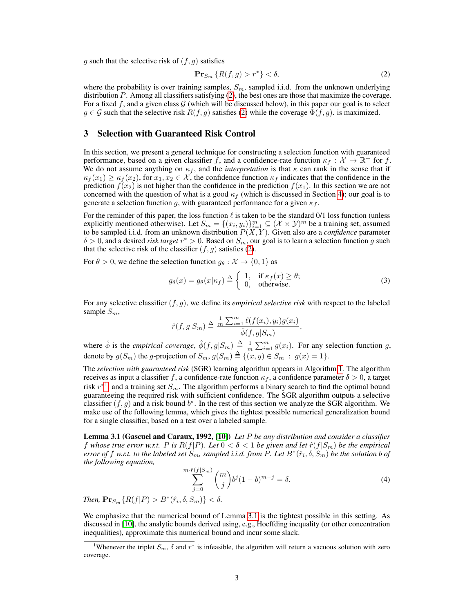g such that the selective risk of  $(f, g)$  satisfies

$$
\mathbf{Pr}_{S_m} \left\{ R(f,g) > r^* \right\} < \delta,\tag{2}
$$

where the probability is over training samples,  $S_m$ , sampled i.i.d. from the unknown underlying distribution P. Among all classifiers satisfying  $(2)$ , the best ones are those that maximize the coverage. For a fixed f, and a given class  $G$  (which will be discussed below), in this paper our goal is to select  $g \in \mathcal{G}$  such that the selective risk  $R(f, g)$  satisfies (2) while the coverage  $\Phi(f, g)$ . is maximized.

## 3 Selection with Guaranteed Risk Control

In this section, we present a general technique for constructing a selection function with guaranteed performance, based on a given classifier f, and a confidence-rate function  $\kappa_f : \mathcal{X} \to \mathbb{R}^+$  for f. We do not assume anything on  $\kappa_f$ , and the *interpretation* is that  $\kappa$  can rank in the sense that if  $\kappa_f(x_1) \geq \kappa_f(x_2)$ , for  $x_1, x_2 \in \mathcal{X}$ , the confidence function  $\kappa_f$  indicates that the confidence in the prediction  $f(x_2)$  is not higher than the confidence in the prediction  $f(x_1)$ . In this section we are not concerned with the question of what is a good  $\kappa_f$  (which is discussed in Section 4); our goal is to generate a selection function g, with guaranteed performance for a given  $\kappa_f$ .

For the reminder of this paper, the loss function  $\ell$  is taken to be the standard 0/1 loss function (unless explicitly mentioned otherwise). Let  $S_m = \{(x_i, y_i)\}_{i=1}^m \subseteq (\mathcal{X} \times \mathcal{Y})^m$  be a training set, assumed to be sampled i.i.d. from an unknown distribution  $P(X, Y)$ . Given also are a *confidence* parameter  $\delta > 0$ , and a desired *risk target*  $r^* > 0$ . Based on  $S_m$ , our goal is to learn a selection function g such that the selective risk of the classifier  $(f, g)$  satisfies (2).

For  $\theta > 0$ , we define the selection function  $g_{\theta}: \mathcal{X} \to \{0, 1\}$  as

$$
g_{\theta}(x) = g_{\theta}(x|\kappa_f) \stackrel{\Delta}{=} \begin{cases} 1, & \text{if } \kappa_f(x) \ge \theta; \\ 0, & \text{otherwise.} \end{cases}
$$
 (3)

For any selective classifier  $(f, g)$ , we define its *empirical selective risk* with respect to the labeled sample  $S_m$ ,

$$
\hat{r}(f,g|S_m) \triangleq \frac{\frac{1}{m}\sum_{i=1}^m \ell(f(x_i), y_i)g(x_i)}{\hat{\phi}(f,g|S_m)},
$$

where  $\hat{\phi}$  is the *empirical coverage*,  $\hat{\phi}(f, g|S_m) \triangleq \frac{1}{m} \sum_{i=1}^m g(x_i)$ . For any selection function g, denote by  $g(S_m)$  the g-projection of  $S_m$ ,  $g(S_m) \triangleq \{(x, y) \in S_m : g(x) = 1\}.$ 

The *selection with guaranteed risk* (SGR) learning algorithm appears in Algorithm 1. The algorithm receives as input a classifier f, a confidence-rate function  $\kappa_f$ , a confidence parameter  $\delta > 0$ , a target risk  $r^{*1}$ , and a training set  $S_m$ . The algorithm performs a binary search to find the optimal bound guaranteeing the required risk with sufficient confidence. The SGR algorithm outputs a selective classifier  $(f, g)$  and a risk bound  $b^*$ . In the rest of this section we analyze the SGR algorithm. We make use of the following lemma, which gives the tightest possible numerical generalization bound for a single classifier, based on a test over a labeled sample.

Lemma 3.1 (Gascuel and Caraux, 1992, [10]) *Let* P *be any distribution and consider a classifier* f whose true error w.r.t. P is  $R(f|P)$ . Let  $0 < \delta < 1$  be given and let  $\hat{r}(f|S_m)$  be the empirical  $e$ rror of  $f$  w.r.t. to the labeled set  $S_m$ , sampled i.i.d. from  $\tilde{P}$ . Let  $B^*(\hat{r}_i,\delta,S_m)$  be the solution  $b$  of *the following equation,*

$$
\sum_{j=0}^{m \cdot \hat{r}(f|S_m)} \binom{m}{j} b^j (1-b)^{m-j} = \delta. \tag{4}
$$

*Then,*  $\mathbf{Pr}_{S_m} \{ R(f|P) > B^*(\hat{r}_i, \delta, S_m) \} < \delta$ .

We emphasize that the numerical bound of Lemma 3.1 is the tightest possible in this setting. As discussed in [10], the analytic bounds derived using, e.g., Hoeffding inequality (or other concentration inequalities), approximate this numerical bound and incur some slack.

<sup>&</sup>lt;sup>1</sup>Whenever the triplet  $S_m$ ,  $\delta$  and  $r^*$  is infeasible, the algorithm will return a vacuous solution with zero coverage.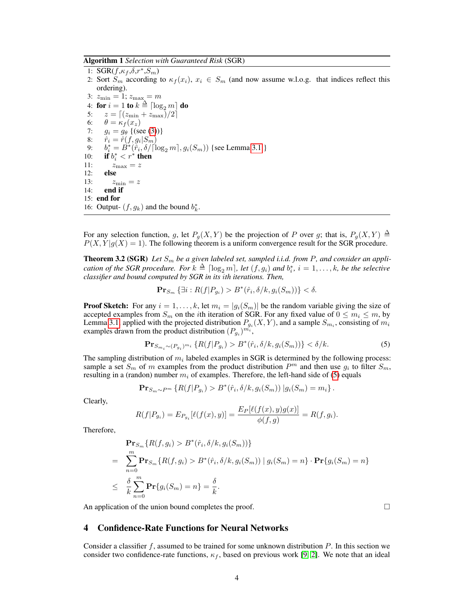Algorithm 1 *Selection with Guaranteed Risk* (SGR)

1:  $\text{SGR}(f, \kappa_f, \delta, r^*, S_m)$ 2: Sort  $S_m$  according to  $\kappa_f(x_i), x_i \in S_m$  (and now assume w.l.o.g. that indices reflect this ordering). 3:  $z_{\min} = 1$ ;  $z_{\max} = m$ 4: for  $i=1$  to  $k\triangleq \lceil \log_2 m \rceil$  do 5:  $z = \frac{z}{\text{min}} + z_{\text{max}}/2$ 6:  $\theta = \kappa_f(x_z)$ <br>7:  $q_i = q_\theta$  {(set) 7:  $g_i = g_\theta$  {(see (3))}<br>8:  $\hat{r}_i = \hat{r}(f, g_i | S_m)$ 8:  $\hat{r}_i = \hat{r}(f, g_i | S_m)$ 9:  $b_i^* = B^*(\tilde{r}_i, \delta/[\log_2 m], g_i(S_m))$  {see Lemma 3.1 } 10: **if**  $b_i^* < r^*$  then 11:  $z_{\text{max}} = z$ 12: else 13:  $z_{\text{min}} = z$ <br>14: **end if** end if 15: end for 16: Output-  $(f, g_k)$  and the bound  $b_k^*$ .

For any selection function, g, let  $P_g(X, Y)$  be the projection of P over g; that is,  $P_g(X, Y) \triangleq$  $P(X, Y | g(X) = 1)$ . The following theorem is a uniform convergence result for the SGR procedure.

**Theorem 3.2 (SGR)** Let  $S_m$  be a given labeled set, sampled i.i.d. from P, and consider an appli*cation of the SGR procedure. For*  $k \triangleq \lceil \log_2 m \rceil$ , let  $(f, g_i)$  and  $b_i^*, i = 1, \ldots, k$ , be the selective *classifier and bound computed by SGR in its* i*th iterations. Then,*

$$
\mathbf{Pr}_{S_m} \left\{ \exists i : R(f | P_{g_i}) > B^*(\hat{r}_i, \delta / k, g_i(S_m)) \right\} < \delta.
$$

**Proof Sketch:** For any  $i = 1, ..., k$ , let  $m_i = |g_i(S_m)|$  be the random variable giving the size of accepted examples from  $S_m$  on the *i*th iteration of SGR. For any fixed value of  $0 \le m_i \le m$ , by Lemma 3.1, applied with the projected distribution  $P_{g_i}(X, Y)$ , and a sample  $S_{m_i}$ , consisting of  $m_i$ examples drawn from the product distribution  $(P_{g_i})^{m_i}$ ,

$$
\mathbf{Pr}_{S_{m_i} \sim (P_{g_i})^{m_i}} \{ R(f | P_{g_i}) > B^*(\hat{r}_i, \delta / k, g_i(S_m)) \} < \delta / k. \tag{5}
$$

The sampling distribution of  $m_i$  labeled examples in SGR is determined by the following process: sample a set  $S_m$  of m examples from the product distribution  $P^m$  and then use  $g_i$  to filter  $S_m$ , resulting in a (randon) number  $m_i$  of examples. Therefore, the left-hand side of (5) equals

$$
\mathbf{Pr}_{S_m \sim P^m} \left\{ R(f|P_{g_i}) > B^*(\hat{r}_i, \delta/k, g_i(S_m)) | g_i(S_m) = m_i \right\}.
$$

Clearly,

$$
R(f|P_{g_i}) = E_{P_{g_i}}[\ell(f(x), y)] = \frac{E_P[\ell(f(x), y)g(x)]}{\phi(f, g)} = R(f, g_i).
$$

Therefore,

$$
\begin{split}\n&\mathbf{Pr}_{S_m}\{R(f, g_i) > B^*(\hat{r}_i, \delta/k, g_i(S_m))\} \\
&= \sum_{n=0}^m \mathbf{Pr}_{S_m}\{R(f, g_i) > B^*(\hat{r}_i, \delta/k, g_i(S_m)) \mid g_i(S_m) = n\} \cdot \mathbf{Pr}\{g_i(S_m) = n\} \\
&\leq \frac{\delta}{k} \sum_{n=0}^m \mathbf{Pr}\{g_i(S_m) = n\} = \frac{\delta}{k}.\n\end{split}
$$

An application of the union bound completes the proof.  $\Box$ 

# 4 Confidence-Rate Functions for Neural Networks

Consider a classifier  $f$ , assumed to be trained for some unknown distribution  $P$ . In this section we consider two confidence-rate functions,  $\kappa_f$ , based on previous work [9, 2]. We note that an ideal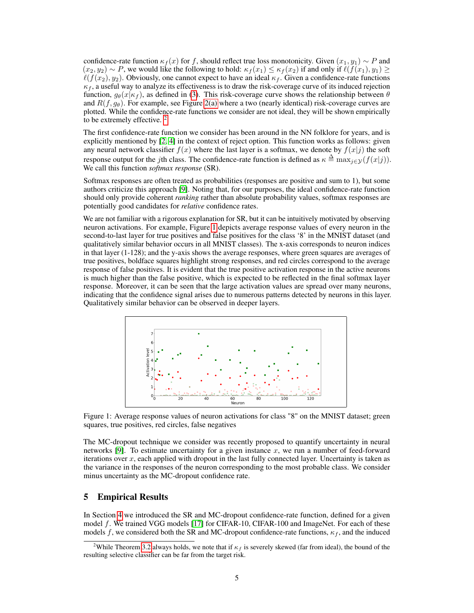confidence-rate function  $\kappa_f(x)$  for f, should reflect true loss monotonicity. Given  $(x_1, y_1) \sim P$  and  $(x_2, y_2) \sim P$ , we would like the following to hold:  $\kappa_f(x_1) \leq \kappa_f(x_2)$  if and only if  $\ell(f(x_1), y_1) \geq$  $\ell(f(x_2), y_2)$ . Obviously, one cannot expect to have an ideal  $\kappa_f$ . Given a confidence-rate functions  $\kappa_f$ , a useful way to analyze its effectiveness is to draw the risk-coverage curve of its induced rejection function,  $g_{\theta}(x|\kappa_f)$ , as defined in (3). This risk-coverage curve shows the relationship between  $\theta$ and  $R(f, q_\theta)$ . For example, see Figure 2(a) where a two (nearly identical) risk-coverage curves are plotted. While the confidence-rate functions we consider are not ideal, they will be shown empirically to be extremely effective. 2

The first confidence-rate function we consider has been around in the NN folklore for years, and is explicitly mentioned by [2, 4] in the context of reject option. This function works as follows: given any neural network classifier  $f(x)$  where the last layer is a softmax, we denote by  $f(x|j)$  the soft response output for the *j*th class. The confidence-rate function is defined as  $\kappa \triangleq \max_{j \in \mathcal{Y}} (f(x|j)).$ We call this function *softmax response* (SR).

Softmax responses are often treated as probabilities (responses are positive and sum to 1), but some authors criticize this approach [9]. Noting that, for our purposes, the ideal confidence-rate function should only provide coherent *ranking* rather than absolute probability values, softmax responses are potentially good candidates for *relative* confidence rates.

We are not familiar with a rigorous explanation for SR, but it can be intuitively motivated by observing neuron activations. For example, Figure 1 depicts average response values of every neuron in the second-to-last layer for true positives and false positives for the class '8' in the MNIST dataset (and qualitatively similar behavior occurs in all MNIST classes). The x-axis corresponds to neuron indices in that layer (1-128); and the y-axis shows the average responses, where green squares are averages of true positives, boldface squares highlight strong responses, and red circles correspond to the average response of false positives. It is evident that the true positive activation response in the active neurons is much higher than the false positive, which is expected to be reflected in the final softmax layer response. Moreover, it can be seen that the large activation values are spread over many neurons, indicating that the confidence signal arises due to numerous patterns detected by neurons in this layer. Qualitatively similar behavior can be observed in deeper layers.



Figure 1: Average response values of neuron activations for class "8" on the MNIST dataset; green squares, true positives, red circles, false negatives

The MC-dropout technique we consider was recently proposed to quantify uncertainty in neural networks  $[9]$ . To estimate uncertainty for a given instance x, we run a number of feed-forward iterations over  $x$ , each applied with dropout in the last fully connected layer. Uncertainty is taken as the variance in the responses of the neuron corresponding to the most probable class. We consider minus uncertainty as the MC-dropout confidence rate.

# 5 Empirical Results

In Section 4 we introduced the SR and MC-dropout confidence-rate function, defined for a given model f. We trained VGG models [17] for CIFAR-10, CIFAR-100 and ImageNet. For each of these models f, we considered both the SR and MC-dropout confidence-rate functions,  $\kappa_f$ , and the induced

<sup>&</sup>lt;sup>2</sup>While Theorem 3.2 always holds, we note that if  $\kappa_f$  is severely skewed (far from ideal), the bound of the resulting selective classifier can be far from the target risk.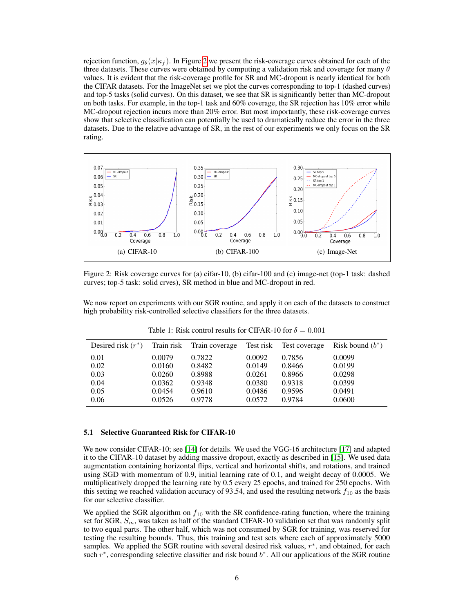rejection function,  $g_{\theta}(x|\kappa_f)$ . In Figure 2 we present the risk-coverage curves obtained for each of the three datasets. These curves were obtained by computing a validation risk and coverage for many  $\theta$ values. It is evident that the risk-coverage profile for SR and MC-dropout is nearly identical for both the CIFAR datasets. For the ImageNet set we plot the curves corresponding to top-1 (dashed curves) and top-5 tasks (solid curves). On this dataset, we see that SR is significantly better than MC-dropout on both tasks. For example, in the top-1 task and 60% coverage, the SR rejection has 10% error while MC-dropout rejection incurs more than 20% error. But most importantly, these risk-coverage curves show that selective classification can potentially be used to dramatically reduce the error in the three datasets. Due to the relative advantage of SR, in the rest of our experiments we only focus on the SR rating.



Figure 2: Risk coverage curves for (a) cifar-10, (b) cifar-100 and (c) image-net (top-1 task: dashed curves; top-5 task: solid crves), SR method in blue and MC-dropout in red.

We now report on experiments with our SGR routine, and apply it on each of the datasets to construct high probability risk-controlled selective classifiers for the three datasets.

| Desired risk $(r^*)$ |        | Train risk Train coverage |        | Test risk Test coverage | Risk bound $(b^*)$ |
|----------------------|--------|---------------------------|--------|-------------------------|--------------------|
| 0.01                 | 0.0079 | 0.7822                    | 0.0092 | 0.7856                  | 0.0099             |
| 0.02                 | 0.0160 | 0.8482                    | 0.0149 | 0.8466                  | 0.0199             |
| 0.03                 | 0.0260 | 0.8988                    | 0.0261 | 0.8966                  | 0.0298             |
| 0.04                 | 0.0362 | 0.9348                    | 0.0380 | 0.9318                  | 0.0399             |
| 0.05                 | 0.0454 | 0.9610                    | 0.0486 | 0.9596                  | 0.0491             |
| 0.06                 | 0.0526 | 0.9778                    | 0.0572 | 0.9784                  | 0.0600             |

Table 1: Risk control results for CIFAR-10 for  $\delta = 0.001$ 

#### 5.1 Selective Guaranteed Risk for CIFAR-10

We now consider CIFAR-10; see [14] for details. We used the VGG-16 architecture [17] and adapted it to the CIFAR-10 dataset by adding massive dropout, exactly as described in [15]. We used data augmentation containing horizontal flips, vertical and horizontal shifts, and rotations, and trained using SGD with momentum of 0.9, initial learning rate of 0.1, and weight decay of 0.0005. We multiplicatively dropped the learning rate by 0.5 every 25 epochs, and trained for 250 epochs. With this setting we reached validation accuracy of 93.54, and used the resulting network  $f_{10}$  as the basis for our selective classifier.

We applied the SGR algorithm on  $f_{10}$  with the SR confidence-rating function, where the training set for SGR,  $S_m$ , was taken as half of the standard CIFAR-10 validation set that was randomly split to two equal parts. The other half, which was not consumed by SGR for training, was reserved for testing the resulting bounds. Thus, this training and test sets where each of approximately 5000 samples. We applied the SGR routine with several desired risk values,  $r^*$ , and obtained, for each such  $r^*$ , corresponding selective classifier and risk bound  $b^*$ . All our applications of the SGR routine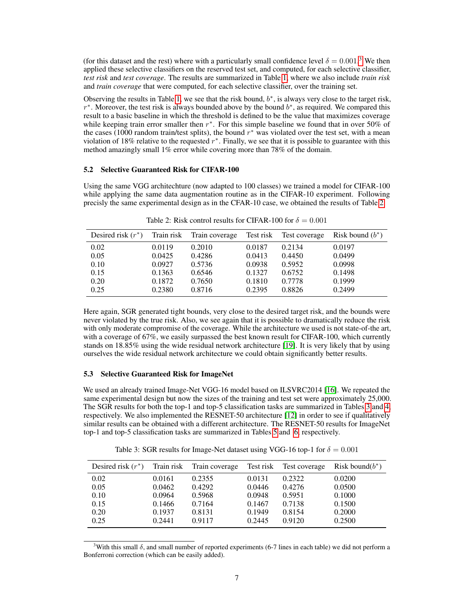(for this dataset and the rest) where with a particularly small confidence level  $\delta = 0.001$ .<sup>3</sup> We then applied these selective classifiers on the reserved test set, and computed, for each selective classifier, *test risk* and *test coverage*. The results are summarized in Table 1, where we also include *train risk* and *train coverage* that were computed, for each selective classifier, over the training set.

Observing the results in Table 1, we see that the risk bound,  $b^*$ , is always very close to the target risk,  $r^*$ . Moreover, the test risk is always bounded above by the bound  $b^*$ , as required. We compared this result to a basic baseline in which the threshold is defined to be the value that maximizes coverage while keeping train error smaller then  $r^*$ . For this simple baseline we found that in over 50% of the cases (1000 random train/test splits), the bound  $r^*$  was violated over the test set, with a mean violation of 18% relative to the requested  $r^*$ . Finally, we see that it is possible to guarantee with this method amazingly small 1% error while covering more than 78% of the domain.

## 5.2 Selective Guaranteed Risk for CIFAR-100

Using the same VGG architechture (now adapted to 100 classes) we trained a model for CIFAR-100 while applying the same data augmentation routine as in the CIFAR-10 experiment. Following precisly the same experimental design as in the CFAR-10 case, we obtained the results of Table 2

| Desired risk $(r^*)$ |        | Train risk Train coverage | Test risk | Test coverage | Risk bound $(b^*)$ |
|----------------------|--------|---------------------------|-----------|---------------|--------------------|
| 0.02                 | 0.0119 | 0.2010                    | 0.0187    | 0.2134        | 0.0197             |
| 0.05                 | 0.0425 | 0.4286                    | 0.0413    | 0.4450        | 0.0499             |
| 0.10                 | 0.0927 | 0.5736                    | 0.0938    | 0.5952        | 0.0998             |
| 0.15                 | 0.1363 | 0.6546                    | 0.1327    | 0.6752        | 0.1498             |
| 0.20                 | 0.1872 | 0.7650                    | 0.1810    | 0.7778        | 0.1999             |
| 0.25                 | 0.2380 | 0.8716                    | 0.2395    | 0.8826        | 0.2499             |

Table 2: Risk control results for CIFAR-100 for  $\delta = 0.001$ 

Here again, SGR generated tight bounds, very close to the desired target risk, and the bounds were never violated by the true risk. Also, we see again that it is possible to dramatically reduce the risk with only moderate compromise of the coverage. While the architecture we used is not state-of-the art, with a coverage of 67%, we easily surpassed the best known result for CIFAR-100, which currently stands on 18.85% using the wide residual network architecture [19]. It is very likely that by using ourselves the wide residual network architecture we could obtain significantly better results.

## 5.3 Selective Guaranteed Risk for ImageNet

We used an already trained Image-Net VGG-16 model based on ILSVRC2014 [16]. We repeated the same experimental design but now the sizes of the training and test set were approximately 25,000. The SGR results for both the top-1 and top-5 classification tasks are summarized in Tables 3 and 4, respectively. We also implemented the RESNET-50 architecture [12] in order to see if qualitatively similar results can be obtained with a different architecture. The RESNET-50 results for ImageNet top-1 and top-5 classification tasks are summarized in Tables 5 and 6, respectively.

Table 3: SGR results for Image-Net dataset using VGG-16 top-1 for  $\delta = 0.001$ 

| Desired risk $(r^*)$ |        | Train risk Train coverage | Test risk | Test coverage | Risk bound $(b^*)$ |
|----------------------|--------|---------------------------|-----------|---------------|--------------------|
| 0.02                 | 0.0161 | 0.2355                    | 0.0131    | 0.2322        | 0.0200             |
| 0.05                 | 0.0462 | 0.4292                    | 0.0446    | 0.4276        | 0.0500             |
| 0.10                 | 0.0964 | 0.5968                    | 0.0948    | 0.5951        | 0.1000             |
| 0.15                 | 0.1466 | 0.7164                    | 0.1467    | 0.7138        | 0.1500             |
| 0.20                 | 0.1937 | 0.8131                    | 0.1949    | 0.8154        | 0.2000             |
| 0.25                 | 0.2441 | 0.9117                    | 0.2445    | 0.9120        | 0.2500             |

<sup>&</sup>lt;sup>3</sup>With this small  $\delta$ , and small number of reported experiments (6-7 lines in each table) we did not perform a Bonferroni correction (which can be easily added).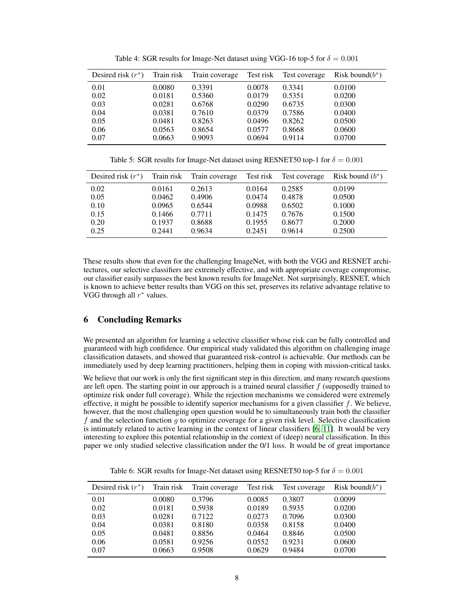| Desired risk $(r^*)$ | Train risk | Train coverage | Test risk | Test coverage | Risk bound $(b^*)$ |
|----------------------|------------|----------------|-----------|---------------|--------------------|
| 0.01                 | 0.0080     | 0.3391         | 0.0078    | 0.3341        | 0.0100             |
| 0.02                 | 0.0181     | 0.5360         | 0.0179    | 0.5351        | 0.0200             |
| 0.03                 | 0.0281     | 0.6768         | 0.0290    | 0.6735        | 0.0300             |
| 0.04                 | 0.0381     | 0.7610         | 0.0379    | 0.7586        | 0.0400             |
| 0.05                 | 0.0481     | 0.8263         | 0.0496    | 0.8262        | 0.0500             |
| 0.06                 | 0.0563     | 0.8654         | 0.0577    | 0.8668        | 0.0600             |
| 0.07                 | 0.0663     | 0.9093         | 0.0694    | 0.9114        | 0.0700             |

Table 4: SGR results for Image-Net dataset using VGG-16 top-5 for  $\delta = 0.001$ 

Table 5: SGR results for Image-Net dataset using RESNET50 top-1 for  $\delta = 0.001$ 

| Desired risk $(r^*)$ |        | Train risk Train coverage |        | Test risk Test coverage | Risk bound $(b^*)$ |
|----------------------|--------|---------------------------|--------|-------------------------|--------------------|
| 0.02                 | 0.0161 | 0.2613                    | 0.0164 | 0.2585                  | 0.0199             |
| 0.05                 | 0.0462 | 0.4906                    | 0.0474 | 0.4878                  | 0.0500             |
| 0.10                 | 0.0965 | 0.6544                    | 0.0988 | 0.6502                  | 0.1000             |
| 0.15                 | 0.1466 | 0.7711                    | 0.1475 | 0.7676                  | 0.1500             |
| 0.20                 | 0.1937 | 0.8688                    | 0.1955 | 0.8677                  | 0.2000             |
| 0.25                 | 0.2441 | 0.9634                    | 0.2451 | 0.9614                  | 0.2500             |

These results show that even for the challenging ImageNet, with both the VGG and RESNET architectures, our selective classifiers are extremely effective, and with appropriate coverage compromise, our classifier easily surpasses the best known results for ImageNet. Not surprisingly, RESNET, which is known to achieve better results than VGG on this set, preserves its relative advantage relative to VGG through all  $r^*$  values.

# 6 Concluding Remarks

We presented an algorithm for learning a selective classifier whose risk can be fully controlled and guaranteed with high confidence. Our empirical study validated this algorithm on challenging image classification datasets, and showed that guaranteed risk-control is achievable. Our methods can be immediately used by deep learning practitioners, helping them in coping with mission-critical tasks.

We believe that our work is only the first significant step in this direction, and many research questions are left open. The starting point in our approach is a trained neural classifier  $f$  (supposedly trained to optimize risk under full coverage). While the rejection mechanisms we considered were extremely effective, it might be possible to identify superior mechanisms for a given classifier  $f$ . We believe, however, that the most challenging open question would be to simultaneously train both the classifier f and the selection function  $q$  to optimize coverage for a given risk level. Selective classification is intimately related to active learning in the context of linear classifiers [6, 11]. It would be very interesting to explore this potential relationship in the context of (deep) neural classification. In this paper we only studied selective classification under the 0/1 loss. It would be of great importance

| Desired risk $(r^*)$ | Train risk | Train coverage | Test risk | Test coverage | Risk bound $(b^*)$ |
|----------------------|------------|----------------|-----------|---------------|--------------------|
| 0.01                 | 0.0080     | 0.3796         | 0.0085    | 0.3807        | 0.0099             |
| 0.02                 | 0.0181     | 0.5938         | 0.0189    | 0.5935        | 0.0200             |
| 0.03                 | 0.0281     | 0.7122         | 0.0273    | 0.7096        | 0.0300             |
| 0.04                 | 0.0381     | 0.8180         | 0.0358    | 0.8158        | 0.0400             |
| 0.05                 | 0.0481     | 0.8856         | 0.0464    | 0.8846        | 0.0500             |
| 0.06                 | 0.0581     | 0.9256         | 0.0552    | 0.9231        | 0.0600             |
| 0.07                 | 0.0663     | 0.9508         | 0.0629    | 0.9484        | 0.0700             |

Table 6: SGR results for Image-Net dataset using RESNET50 top-5 for  $\delta = 0.001$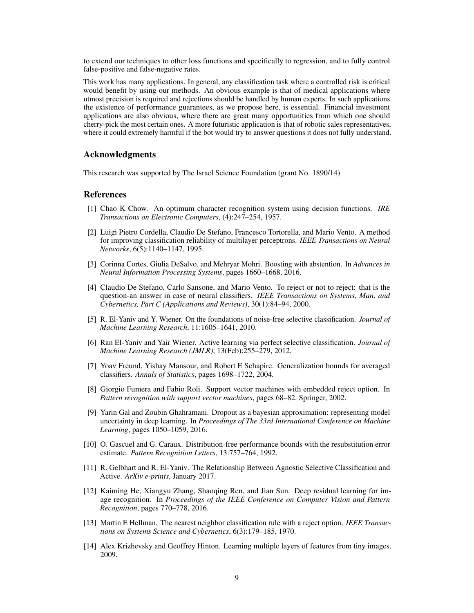to extend our techniques to other loss functions and specifically to regression, and to fully control false-positive and false-negative rates.

This work has many applications. In general, any classification task where a controlled risk is critical would benefit by using our methods. An obvious example is that of medical applications where utmost precision is required and rejections should be handled by human experts. In such applications the existence of performance guarantees, as we propose here, is essential. Financial investment applications are also obvious, where there are great many opportunities from which one should cherry-pick the most certain ones. A more futuristic application is that of robotic sales representatives, where it could extremely harmful if the bot would try to answer questions it does not fully understand.

## Acknowledgments

This research was supported by The Israel Science Foundation (grant No. 1890/14)

#### **References**

- [1] Chao K Chow. An optimum character recognition system using decision functions. *IRE Transactions on Electronic Computers*, (4):247–254, 1957.
- [2] Luigi Pietro Cordella, Claudio De Stefano, Francesco Tortorella, and Mario Vento. A method for improving classification reliability of multilayer perceptrons. *IEEE Transactions on Neural Networks*, 6(5):1140–1147, 1995.
- [3] Corinna Cortes, Giulia DeSalvo, and Mehryar Mohri. Boosting with abstention. In *Advances in Neural Information Processing Systems*, pages 1660–1668, 2016.
- [4] Claudio De Stefano, Carlo Sansone, and Mario Vento. To reject or not to reject: that is the question-an answer in case of neural classifiers. *IEEE Transactions on Systems, Man, and Cybernetics, Part C (Applications and Reviews)*, 30(1):84–94, 2000.
- [5] R. El-Yaniv and Y. Wiener. On the foundations of noise-free selective classification. *Journal of Machine Learning Research*, 11:1605–1641, 2010.
- [6] Ran El-Yaniv and Yair Wiener. Active learning via perfect selective classification. *Journal of Machine Learning Research (JMLR)*, 13(Feb):255–279, 2012.
- [7] Yoav Freund, Yishay Mansour, and Robert E Schapire. Generalization bounds for averaged classifiers. *Annals of Statistics*, pages 1698–1722, 2004.
- [8] Giorgio Fumera and Fabio Roli. Support vector machines with embedded reject option. In *Pattern recognition with support vector machines*, pages 68–82. Springer, 2002.
- [9] Yarin Gal and Zoubin Ghahramani. Dropout as a bayesian approximation: representing model uncertainty in deep learning. In *Proceedings of The 33rd International Conference on Machine Learning*, pages 1050–1059, 2016.
- [10] O. Gascuel and G. Caraux. Distribution-free performance bounds with the resubstitution error estimate. *Pattern Recognition Letters*, 13:757–764, 1992.
- [11] R. Gelbhart and R. El-Yaniv. The Relationship Between Agnostic Selective Classification and Active. *ArXiv e-prints*, January 2017.
- [12] Kaiming He, Xiangyu Zhang, Shaoqing Ren, and Jian Sun. Deep residual learning for image recognition. In *Proceedings of the IEEE Conference on Computer Vision and Pattern Recognition*, pages 770–778, 2016.
- [13] Martin E Hellman. The nearest neighbor classification rule with a reject option. *IEEE Transactions on Systems Science and Cybernetics*, 6(3):179–185, 1970.
- [14] Alex Krizhevsky and Geoffrey Hinton. Learning multiple layers of features from tiny images. 2009.